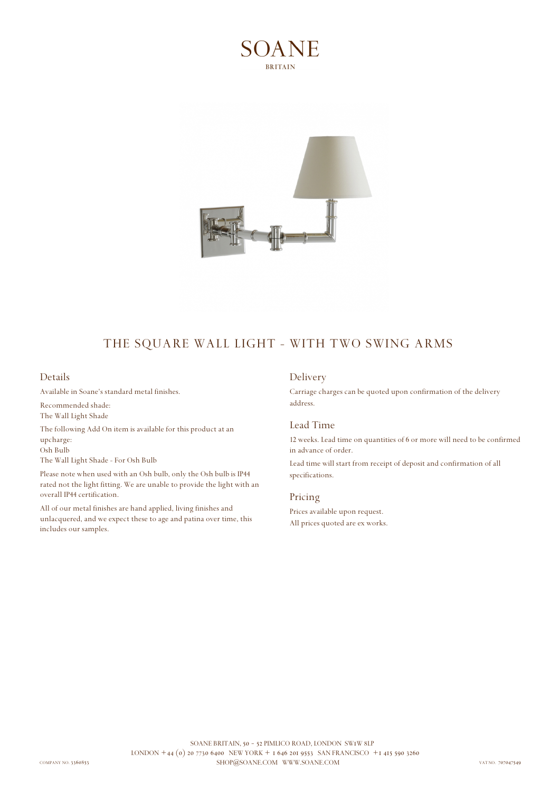# **BRITAIN**



## THE SQUARE WALL LIGHT - WITH TWO SWING ARMS

### **Details**

Available in Soane's standard metal finishes.

Recommended shade:

The Wall Light Shade

The following Add On item is available for this product at an upcharge:

Osh Bulb

The Wall Light Shade - For Osh Bulb

Please note when used with an Osh bulb, only the Osh bulb is IP44 rated not the light fitting. We are unable to provide the light with an overall IP44 certification.

All of our metal finishes are hand applied, living finishes and unlacquered, and we expect these to age and patina over time, this includes our samples.

#### **Delivery**

Carriage charges can be quoted upon confirmation of the delivery address.

#### **Lead Time**

12 weeks. Lead time on quantities of 6 or more will need to be confirmed in advance of order.

Lead time will start from receipt of deposit and confirmation of all specifications.

#### **Pricing**

Prices available upon request. All prices quoted are ex works.